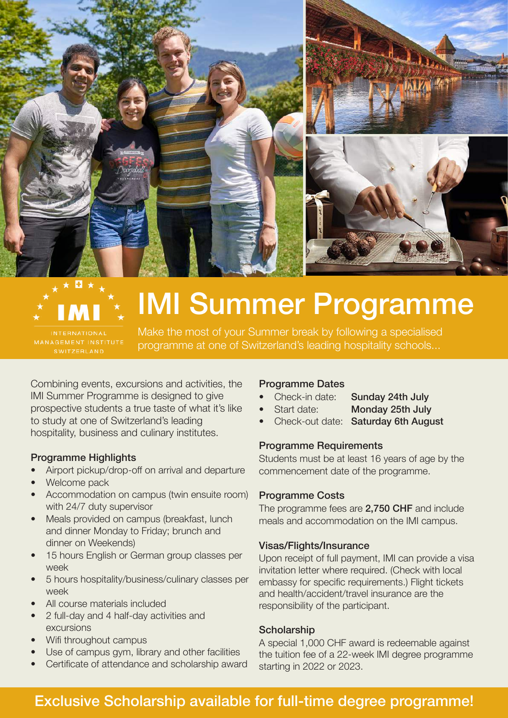

## IMI Summer Programme

Make the most of your Summer break by following a specialised programme at one of Switzerland's leading hospitality schools...

Combining events, excursions and activities, the IMI Summer Programme is designed to give prospective students a true taste of what it's like to study at one of Switzerland's leading hospitality, business and culinary institutes.

#### Programme Highlights

- Airport pickup/drop-off on arrival and departure
- Welcome pack
- Accommodation on campus (twin ensuite room) with 24/7 duty supervisor
- Meals provided on campus (breakfast, lunch and dinner Monday to Friday; brunch and dinner on Weekends)
- 15 hours English or German group classes per week
- 5 hours hospitality/business/culinary classes per week
- All course materials included
- 2 full-day and 4 half-day activities and excursions
- Wifi throughout campus
- Use of campus gym, library and other facilities
- Certificate of attendance and scholarship award

#### Programme Dates

- Check-in date: Sunday 24th July
	-
	- Start date: Monday 25th July
- Check-out date: Saturday 6th August

#### Programme Requirements

Students must be at least 16 years of age by the commencement date of the programme.

#### Programme Costs

The programme fees are 2,750 CHF and include meals and accommodation on the IMI campus.

#### Visas/Flights/Insurance

Upon receipt of full payment, IMI can provide a visa invitation letter where required. (Check with local embassy for specific requirements.) Flight tickets and health/accident/travel insurance are the responsibility of the participant.

#### **Scholarship**

A special 1,000 CHF award is redeemable against the tuition fee of a 22-week IMI degree programme starting in 2022 or 2023.

### Exclusive Scholarship available for full-time degree programme!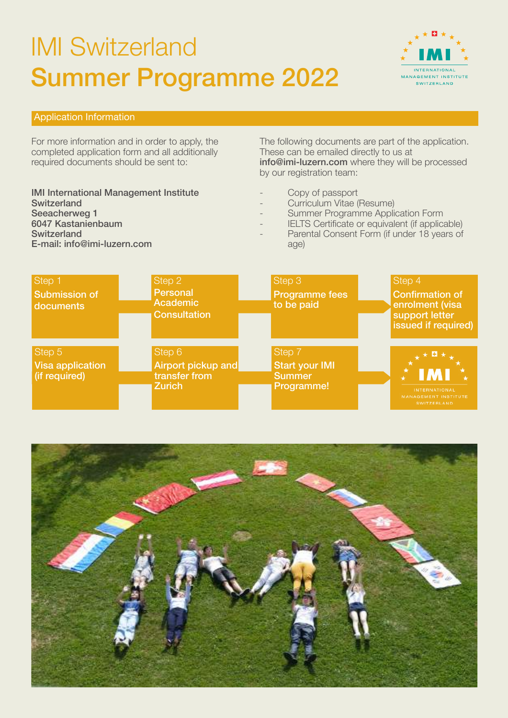## IMI Switzerland Summer Programme 2022



#### Application Information

For more information and in order to apply, the completed application form and all additionally required documents should be sent to:

IMI International Management Institute **Switzerland** Seeacherweg 1 6047 Kastanienbaum **Switzerland** E-mail: info@imi-luzern.com

The following documents are part of the application. These can be emailed directly to us at info@imi-luzern.com where they will be processed by our registration team:

- Copy of passport
- Curriculum Vitae (Resume)
- Summer Programme Application Form
- IELTS Certificate or equivalent (if applicable)
- Parental Consent Form (if under 18 years of age)

| Step 1<br><b>Submission of</b><br>documents | Step 2<br><b>Personal</b><br><b>Academic</b><br><b>Consultation</b> | Step 3<br><b>Programme fees</b><br>to be paid                  | Step 4<br><b>Confirmation of</b><br>enrolment (visa<br>support letter<br>issued if required) |
|---------------------------------------------|---------------------------------------------------------------------|----------------------------------------------------------------|----------------------------------------------------------------------------------------------|
| Step 5<br>Visa application<br>(if required) | Step 6<br>Airport pickup and<br>transfer from<br><b>Zurich</b>      | Step 7<br><b>Start your IMI</b><br><b>Summer</b><br>Programme! | *<br><b>INTERNATIONAL</b><br><b>MANAGEMENT INSTITUTE</b><br><b>SWITZERLAND</b>               |

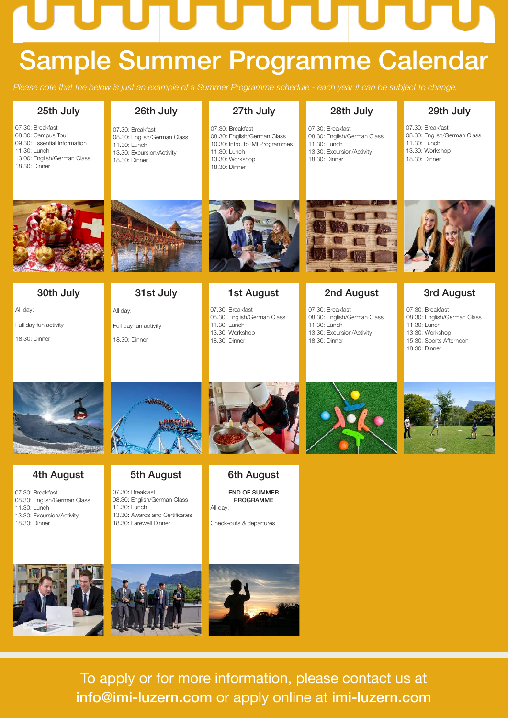# TU.

## Sample Summer Programme Calendar

*Please note that the below is just an example of a Summer Programme schedule - each year it can be subject to change.*

#### 25th July

07.30: Breakfast 08.30: Campus Tour 09.30: Essential Information 11.30: Lunch 13.00: English/German Class 18.30: Dinner

#### 26th July 07.30: Breakfast

08.30: English/German Class 11.30: Lunch 13.30: Excursion/Activity 18.30: Dinner

#### 27th July

07.30: Breakfast 08.30: English/German Class 10.30: Intro. to IMI Programmes 11.30: Lunch 13.30: Workshop 18.30: Dinner

#### 28th July

07.30: Breakfast 08.30: English/German Class 11.30: Lunch 13.30: Excursion/Activity 18.30: Dinner

#### 29th July

07.30: Breakfast 08.30: English/German Class 11.30: Lunch 13.30: Workshop 18.30: Dinner



30th July All day:

Full day fun activity 18.30: Dinner

## 31st July

Full day fun activity 18.30: Dinner

All day:



#### 1st August

07.30: Breakfast 08.30: English/German Class 11.30: Lunch 13.30: Workshop 18.30: Dinner



#### 2nd August

07.30: Breakfast 08.30: English/German Class 11.30: Lunch 13.30: Excursion/Activity 18.30: Dinner



#### 3rd August

07.30: Breakfast 08.30: English/German Class 11.30: Lunch 13.30: Workshop 15:30: Sports Afternoon 18.30: Dinner



#### 4th August

07.30: Breakfast 08.30: English/German Class 11.30: Lunch 13.30: Excursion/Activity 18.30: Dinner

#### 5th August

07.30: Breakfast 08.30: English/German Class 11.30: Lunch 13.30: Awards and Certificates 18.30: Farewell Dinner



#### 6th August

END OF SUMMER PROGRAMME All day:

Check-outs & departures







To apply or for more information, please contact us at info@imi-luzern.com or apply online at imi-luzern.com